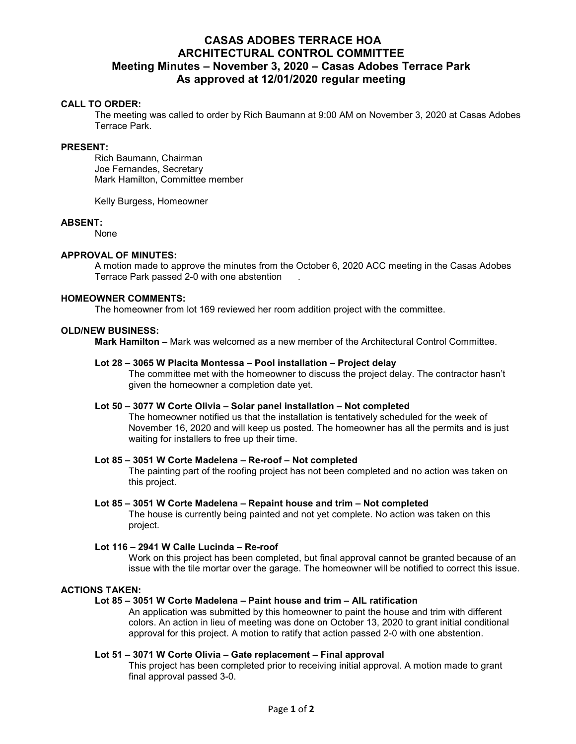# **CASAS ADOBES TERRACE HOA ARCHITECTURAL CONTROL COMMITTEE Meeting Minutes – November 3, 2020 – Casas Adobes Terrace Park As approved at 12/01/2020 regular meeting**

# **CALL TO ORDER:**

The meeting was called to order by Rich Baumann at 9:00 AM on November 3, 2020 at Casas Adobes Terrace Park.

#### **PRESENT:**

Rich Baumann, Chairman Joe Fernandes, Secretary Mark Hamilton, Committee member

Kelly Burgess, Homeowner

### **ABSENT:**

None

### **APPROVAL OF MINUTES:**

A motion made to approve the minutes from the October 6, 2020 ACC meeting in the Casas Adobes Terrace Park passed 2-0 with one abstention .

#### **HOMEOWNER COMMENTS:**

The homeowner from lot 169 reviewed her room addition project with the committee.

### **OLD/NEW BUSINESS:**

 **Mark Hamilton –** Mark was welcomed as a new member of the Architectural Control Committee.

#### **Lot 28 – 3065 W Placita Montessa – Pool installation – Project delay**

The committee met with the homeowner to discuss the project delay. The contractor hasn't given the homeowner a completion date yet.

### **Lot 50 – 3077 W Corte Olivia – Solar panel installation – Not completed**

The homeowner notified us that the installation is tentatively scheduled for the week of November 16, 2020 and will keep us posted. The homeowner has all the permits and is just waiting for installers to free up their time.

#### **Lot 85 – 3051 W Corte Madelena – Re-roof – Not completed**

The painting part of the roofing project has not been completed and no action was taken on this project.

### **Lot 85 – 3051 W Corte Madelena – Repaint house and trim – Not completed**

The house is currently being painted and not yet complete. No action was taken on this project.

#### **Lot 116 – 2941 W Calle Lucinda – Re-roof**

Work on this project has been completed, but final approval cannot be granted because of an issue with the tile mortar over the garage. The homeowner will be notified to correct this issue.

# **ACTIONS TAKEN:**

### **Lot 85 – 3051 W Corte Madelena – Paint house and trim – AIL ratification**

An application was submitted by this homeowner to paint the house and trim with different colors. An action in lieu of meeting was done on October 13, 2020 to grant initial conditional approval for this project. A motion to ratify that action passed 2-0 with one abstention.

#### **Lot 51 – 3071 W Corte Olivia – Gate replacement – Final approval**

This project has been completed prior to receiving initial approval. A motion made to grant final approval passed 3-0.